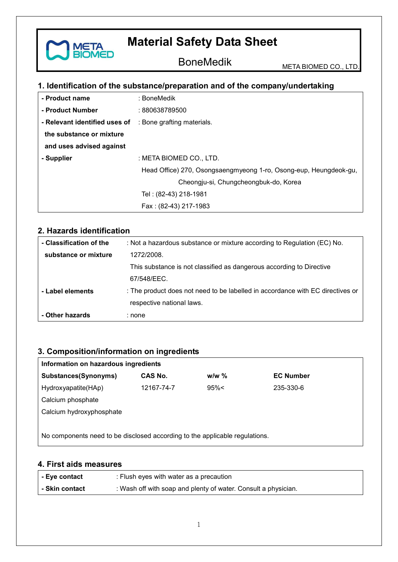BoneMedik META BIOMED CO., LTD.

## **1. Identification of the substance/preparation and of the company/undertaking**

| - Product name                                           | : BoneMedik                                                       |  |  |
|----------------------------------------------------------|-------------------------------------------------------------------|--|--|
| - Product Number                                         | : 880638789500                                                    |  |  |
| - Relevant identified uses of : Bone grafting materials. |                                                                   |  |  |
| the substance or mixture                                 |                                                                   |  |  |
| and uses advised against                                 |                                                                   |  |  |
| - Supplier                                               | : META BIOMED CO., LTD.                                           |  |  |
|                                                          | Head Office) 270, Osongsaengmyeong 1-ro, Osong-eup, Heungdeok-gu, |  |  |
|                                                          | Cheongju-si, Chungcheongbuk-do, Korea                             |  |  |
|                                                          | Tel: (82-43) 218-1981                                             |  |  |
|                                                          | Fax: (82-43) 217-1983                                             |  |  |

#### **2. Hazards identification**

**META** 

ΞD

| - Classification of the | : Not a hazardous substance or mixture according to Regulation (EC) No.        |
|-------------------------|--------------------------------------------------------------------------------|
| substance or mixture    | 1272/2008.                                                                     |
|                         | This substance is not classified as dangerous according to Directive           |
|                         | 67/548/EEC.                                                                    |
| - Label elements        | : The product does not need to be labelled in accordance with EC directives or |
|                         | respective national laws.                                                      |
| - Other hazards         | : none                                                                         |

## **3. Composition/information on ingredients**

| Information on hazardous ingredients                                        |            |         |                  |  |
|-----------------------------------------------------------------------------|------------|---------|------------------|--|
| Substances(Synonyms)                                                        | CAS No.    | $w/w$ % | <b>EC Number</b> |  |
| Hydroxyapatite(HAp)                                                         | 12167-74-7 | 95%<    | 235-330-6        |  |
| Calcium phosphate                                                           |            |         |                  |  |
| Calcium hydroxyphosphate                                                    |            |         |                  |  |
|                                                                             |            |         |                  |  |
| No components need to be disclosed according to the applicable regulations. |            |         |                  |  |

#### **4. First aids measures**

| - Eye contact  | : Flush eyes with water as a precaution                        |
|----------------|----------------------------------------------------------------|
| - Skin contact | : Wash off with soap and plenty of water. Consult a physician. |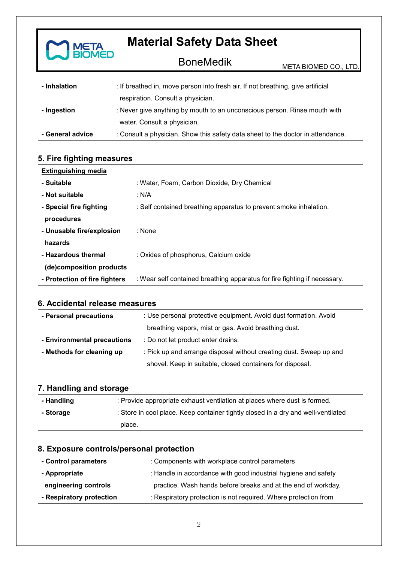

| - Inhalation     | : If breathed in, move person into fresh air. If not breathing, give artificial |
|------------------|---------------------------------------------------------------------------------|
|                  | respiration. Consult a physician.                                               |
| - Ingestion      | : Never give anything by mouth to an unconscious person. Rinse mouth with       |
|                  | water. Consult a physician.                                                     |
| - General advice | : Consult a physician. Show this safety data sheet to the doctor in attendance. |

## **5. Fire fighting measures**

| <b>Extinguishing media</b>    |                                                                           |
|-------------------------------|---------------------------------------------------------------------------|
| - Suitable                    | : Water, Foam, Carbon Dioxide, Dry Chemical                               |
| - Not suitable                | : N/A                                                                     |
| - Special fire fighting       | : Self contained breathing apparatus to prevent smoke inhalation.         |
| procedures                    |                                                                           |
| - Unusable fire/explosion     | : None                                                                    |
| hazards                       |                                                                           |
| - Hazardous thermal           | : Oxides of phosphorus, Calcium oxide                                     |
| (de)composition products      |                                                                           |
| - Protection of fire fighters | : Wear self contained breathing apparatus for fire fighting if necessary. |

#### **6. Accidental release measures**

| - Personal precautions      | : Use personal protective equipment. Avoid dust formation. Avoid   |  |
|-----------------------------|--------------------------------------------------------------------|--|
|                             | breathing vapors, mist or gas. Avoid breathing dust.               |  |
| - Environmental precautions | : Do not let product enter drains.                                 |  |
| - Methods for cleaning up   | : Pick up and arrange disposal without creating dust. Sweep up and |  |
|                             | shovel. Keep in suitable, closed containers for disposal.          |  |

#### **7. Handling and storage**

| - Handling | : Provide appropriate exhaust ventilation at places where dust is formed.         |
|------------|-----------------------------------------------------------------------------------|
| - Storage  | : Store in cool place. Keep container tightly closed in a dry and well-ventilated |
|            | place.                                                                            |

#### **8. Exposure controls/personal protection**

| - Control parameters     | : Components with workplace control parameters                  |  |
|--------------------------|-----------------------------------------------------------------|--|
| - Appropriate            | : Handle in accordance with good industrial hygiene and safety  |  |
| engineering controls     | practice. Wash hands before breaks and at the end of workday.   |  |
| - Respiratory protection | : Respiratory protection is not required. Where protection from |  |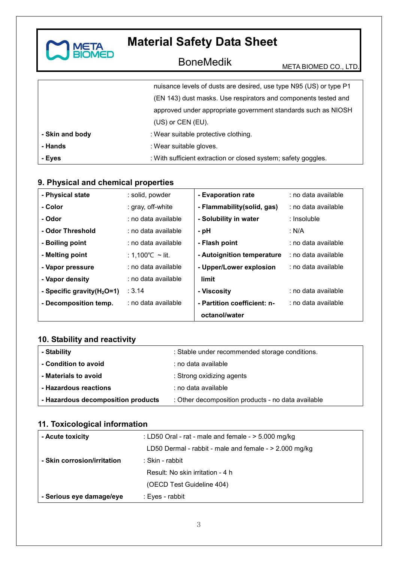

# BoneMedik META BIOMED CO., LTD.

|                 | nuisance levels of dusts are desired, use type N95 (US) or type P1 |  |
|-----------------|--------------------------------------------------------------------|--|
|                 | (EN 143) dust masks. Use respirators and components tested and     |  |
|                 | approved under appropriate government standards such as NIOSH      |  |
|                 | (US) or CEN (EU).                                                  |  |
| - Skin and body | : Wear suitable protective clothing.                               |  |
| - Hands         | : Wear suitable gloves.                                            |  |
| - Eyes          | : With sufficient extraction or closed system; safety goggles.     |  |

#### **9. Physical and chemical properties**

| - Physical state              | : solid, powder     | - Evaporation rate          | : no data available |
|-------------------------------|---------------------|-----------------------------|---------------------|
| - Color                       | : gray, off-white   | - Flammability(solid, gas)  | : no data available |
| - Odor                        | : no data available | - Solubility in water       | : Insoluble         |
| - Odor Threshold              | : no data available | - pH                        | : N/A               |
| - Boiling point               | : no data available | - Flash point               | : no data available |
| - Melting point               | : 1,100 °C ∼ lit.   | - Autoignition temperature  | : no data available |
| - Vapor pressure              | : no data available | - Upper/Lower explosion     | : no data available |
| - Vapor density               | : no data available | limit                       |                     |
| - Specific gravity $(H_2O=1)$ | : 3.14              | - Viscosity                 | : no data available |
| - Decomposition temp.         | : no data available | - Partition coefficient: n- | : no data available |
|                               |                     | octanol/water               |                     |

## **10. Stability and reactivity**

| - Stability                        | : Stable under recommended storage conditions.     |
|------------------------------------|----------------------------------------------------|
| - Condition to avoid               | : no data available                                |
| - Materials to avoid               | : Strong oxidizing agents                          |
| - Hazardous reactions              | : no data available                                |
| - Hazardous decomposition products | : Other decomposition products - no data available |

## **11. Toxicological information**

| - Acute toxicity            | : LD50 Oral - rat - male and female - $>$ 5.000 mg/kg    |
|-----------------------------|----------------------------------------------------------|
|                             | LD50 Dermal - rabbit - male and female - $> 2.000$ mg/kg |
| - Skin corrosion/irritation | : Skin - rabbit                                          |
|                             | Result: No skin irritation - 4 h                         |
|                             | (OECD Test Guideline 404)                                |
| - Serious eye damage/eye    | : Eyes - rabbit                                          |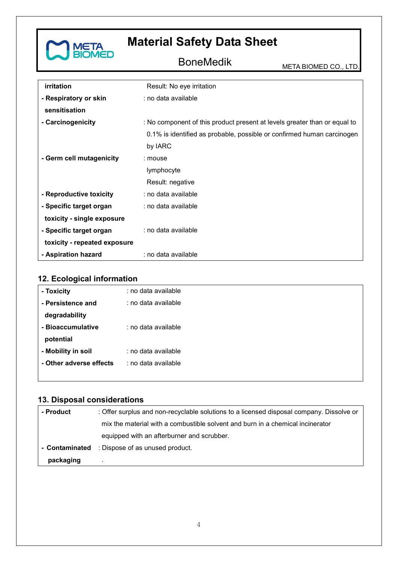

BoneMedik META BIOMED CO., LTD.

| irritation                   | Result: No eye irritation                                                 |  |
|------------------------------|---------------------------------------------------------------------------|--|
| - Respiratory or skin        | : no data available                                                       |  |
| sensitisation                |                                                                           |  |
| - Carcinogenicity            | : No component of this product present at levels greater than or equal to |  |
|                              | 0.1% is identified as probable, possible or confirmed human carcinogen    |  |
|                              | by IARC                                                                   |  |
| - Germ cell mutagenicity     | : mouse                                                                   |  |
|                              | lymphocyte                                                                |  |
|                              | Result: negative                                                          |  |
| - Reproductive toxicity      | : no data available                                                       |  |
| - Specific target organ      | : no data available                                                       |  |
| toxicity - single exposure   |                                                                           |  |
| - Specific target organ      | : no data available                                                       |  |
| toxicity - repeated exposure |                                                                           |  |
| - Aspiration hazard          | : no data available                                                       |  |

## **12. Ecological information**

| - Toxicity              | : no data available |
|-------------------------|---------------------|
| - Persistence and       | : no data available |
| degradability           |                     |
| - Bioaccumulative       | : no data available |
| potential               |                     |
| - Mobility in soil      | : no data available |
| - Other adverse effects | : no data available |
|                         |                     |

## **13. Disposal considerations**

| - Product      | : Offer surplus and non-recyclable solutions to a licensed disposal company. Dissolve or |
|----------------|------------------------------------------------------------------------------------------|
|                | mix the material with a combustible solvent and burn in a chemical incinerator           |
|                | equipped with an afterburner and scrubber.                                               |
| - Contaminated | : Dispose of as unused product.                                                          |
| packaging      |                                                                                          |